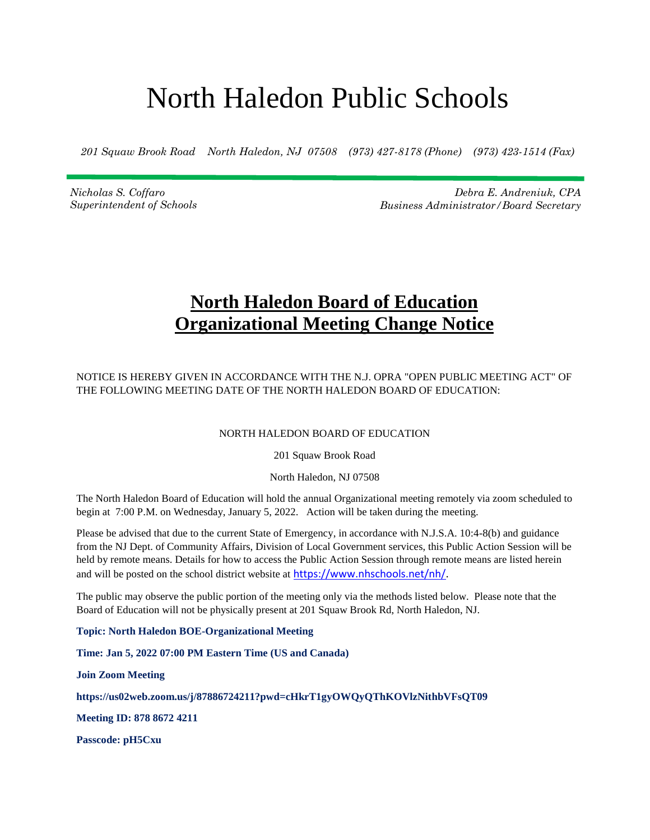## North Haledon Public Schools

*201 Squaw Brook Road North Haledon, NJ 07508 (973) 427-8178 (Phone) (973) 423-1514 (Fax)*

*Nicholas S. Coffaro Superintendent of Schools*

*Debra E. Andreniuk, CPA Business Administrator/Board Secretary*

## **North Haledon Board of Education Organizational Meeting Change Notice**

NOTICE IS HEREBY GIVEN IN ACCORDANCE WITH THE N.J. OPRA "OPEN PUBLIC MEETING ACT" OF THE FOLLOWING MEETING DATE OF THE NORTH HALEDON BOARD OF EDUCATION:

## NORTH HALEDON BOARD OF EDUCATION

201 Squaw Brook Road

North Haledon, NJ 07508

The North Haledon Board of Education will hold the annual Organizational meeting remotely via zoom scheduled to begin at 7:00 P.M. on Wednesday, January 5, 2022. Action will be taken during the meeting.

Please be advised that due to the current State of Emergency, in accordance with N.J.S.A. 10:4-8(b) and guidance from the NJ Dept. of Community Affairs, Division of Local Government services, this Public Action Session will be held by remote means. Details for how to access the Public Action Session through remote means are listed herein and will be posted on the school district website at [https://www.nhschools.net/nh/.](https://www.nhschools.net/nh/)

The public may observe the public portion of the meeting only via the methods listed below. Please note that the Board of Education will not be physically present at 201 Squaw Brook Rd, North Haledon, NJ.

**Topic: North Haledon BOE-Organizational Meeting**

**Time: Jan 5, 2022 07:00 PM Eastern Time (US and Canada)**

**Join Zoom Meeting**

**https://us02web.zoom.us/j/87886724211?pwd=cHkrT1gyOWQyQThKOVlzNithbVFsQT09**

**Meeting ID: 878 8672 4211**

**Passcode: pH5Cxu**